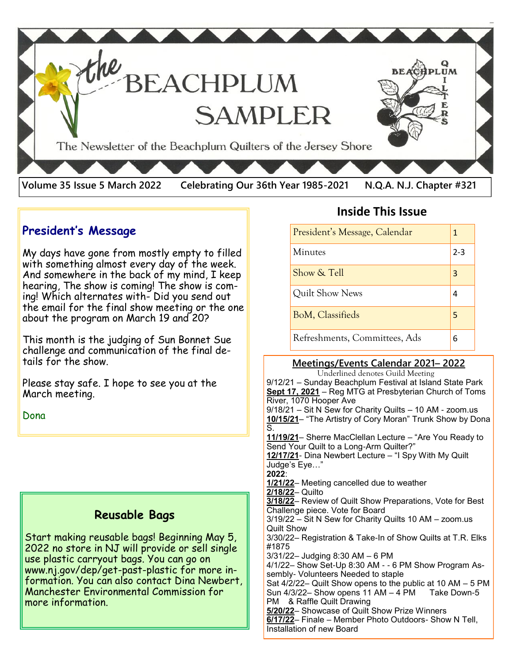

### **President's Message**

My days have gone from mostly empty to filled with something almost every day of the week. And somewhere in the back of my mind, I keep hearing, The show is coming! The show is coming! Which alternates with- Did you send out the email for the final show meeting or the one about the program on March 19 and 20?

This month is the judging of Sun Bonnet Sue challenge and communication of the final details for the show.

Please stay safe. I hope to see you at the March meeting.

Dona

#### **Reusable Bags**

Start making reusable bags! Beginning May 5, 2022 no store in NJ will provide or sell single use plastic carryout bags. You can go on www.nj.gov/dep/get-past-plastic for more information. You can also contact Dina Newbert, Manchester Environmental Commission for more information.

# **Inside This Issue**

| President's Message, Calendar | 1   |
|-------------------------------|-----|
| Minutes                       | 2-3 |
| Show & Tell                   | 3   |
| Quilt Show News               |     |
| <b>BoM, Classifieds</b>       | 5   |
| Refreshments, Committees, Ads | 6   |

#### **Meetings/Events Calendar 2021– 2022**

 Underlined denotes Guild Meeting 9/12/21 – Sunday Beachplum Festival at Island State Park **Sept 17, 2021** – Reg MTG at Presbyterian Church of Toms River, 1070 Hooper Ave 9/18/21 – Sit N Sew for Charity Quilts – 10 AM - zoom.us **10/15/21**– "The Artistry of Cory Moran" Trunk Show by Dona S. **11/19/21**– Sherre MacClellan Lecture – "Are You Ready to Send Your Quilt to a Long-Arm Quilter?" **12/17/21**- Dina Newbert Lecture – "I Spy With My Quilt Judge's Eye…" **2022**: **1/21/22**– Meeting cancelled due to weather **2/18/22**– Quilto **3/18/22**– Review of Quilt Show Preparations, Vote for Best Challenge piece. Vote for Board 3/19/22 – Sit N Sew for Charity Quilts 10 AM – zoom.us Quilt Show 3/30/22– Registration & Take-In of Show Quilts at T.R. Elks #1875 3/31/22– Judging 8:30 AM – 6 PM 4/1/22– Show Set-Up 8:30 AM - - 6 PM Show Program Assembly- Volunteers Needed to staple Sat 4/2/22– Quilt Show opens to the public at 10 AM – 5 PM Sun  $4/3/22 -$  Show opens 11 AM  $-4$  PM Take Down-5 PM & Raffle Quilt Drawing **5/20/22**– Showcase of Quilt Show Prize Winners **6/17/22**– Finale – Member Photo Outdoors- Show N Tell, Installation of new Board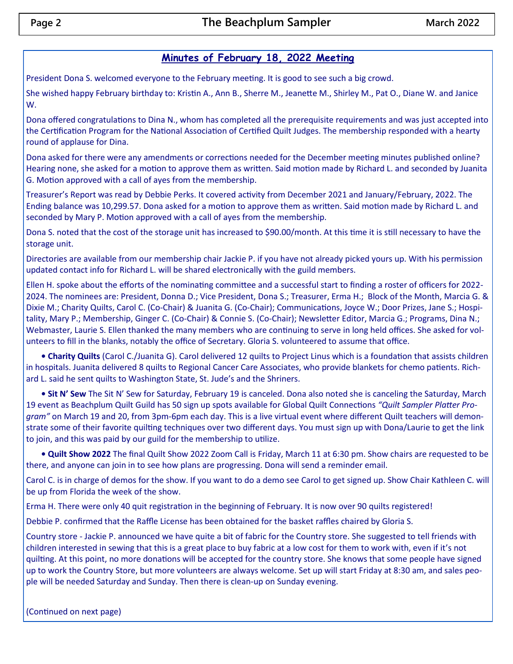#### **Minutes of February 18, 2022 Meeting**

President Dona S. welcomed everyone to the February meeting. It is good to see such a big crowd.

She wished happy February birthday to: Kristin A., Ann B., Sherre M., Jeanette M., Shirley M., Pat O., Diane W. and Janice W.

Dona offered congratulations to Dina N., whom has completed all the prerequisite requirements and was just accepted into the Certification Program for the National Association of Certified Quilt Judges. The membership responded with a hearty round of applause for Dina.

Dona asked for there were any amendments or corrections needed for the December meeting minutes published online? Hearing none, she asked for a motion to approve them as written. Said motion made by Richard L. and seconded by Juanita G. Motion approved with a call of ayes from the membership.

Treasurer's Report was read by Debbie Perks. It covered activity from December 2021 and January/February, 2022. The Ending balance was 10,299.57. Dona asked for a motion to approve them as written. Said motion made by Richard L. and seconded by Mary P. Motion approved with a call of ayes from the membership.

Dona S. noted that the cost of the storage unit has increased to \$90.00/month. At this time it is still necessary to have the storage unit.

Directories are available from our membership chair Jackie P. if you have not already picked yours up. With his permission updated contact info for Richard L. will be shared electronically with the guild members.

Ellen H. spoke about the efforts of the nominating committee and a successful start to finding a roster of officers for 2022- 2024. The nominees are: President, Donna D.; Vice President, Dona S.; Treasurer, Erma H.; Block of the Month, Marcia G. & Dixie M.; Charity Quilts, Carol C. (Co-Chair) & Juanita G. (Co-Chair); Communications, Joyce W.; Door Prizes, Jane S.; Hospitality, Mary P.; Membership, Ginger C. (Co-Chair) & Connie S. (Co-Chair); Newsletter Editor, Marcia G.; Programs, Dina N.; Webmaster, Laurie S. Ellen thanked the many members who are continuing to serve in long held offices. She asked for volunteers to fill in the blanks, notably the office of Secretary. Gloria S. volunteered to assume that office.

**• Charity Quilts** (Carol C./Juanita G). Carol delivered 12 quilts to Project Linus which is a foundation that assists children in hospitals. Juanita delivered 8 quilts to Regional Cancer Care Associates, who provide blankets for chemo patients. Richard L. said he sent quilts to Washington State, St. Jude's and the Shriners.

**• Sit N' Sew** The Sit N' Sew for Saturday, February 19 is canceled. Dona also noted she is canceling the Saturday, March 19 event as Beachplum Quilt Guild has 50 sign up spots available for Global Quilt Connections *"Quilt Sampler Platter Program"* on March 19 and 20, from 3pm-6pm each day. This is a live virtual event where different Quilt teachers will demonstrate some of their favorite quilting techniques over two different days. You must sign up with Dona/Laurie to get the link to join, and this was paid by our guild for the membership to utilize.

**• Quilt Show 2022** The final Quilt Show 2022 Zoom Call is Friday, March 11 at 6:30 pm. Show chairs are requested to be there, and anyone can join in to see how plans are progressing. Dona will send a reminder email.

Carol C. is in charge of demos for the show. If you want to do a demo see Carol to get signed up. Show Chair Kathleen C. will be up from Florida the week of the show.

Erma H. There were only 40 quit registration in the beginning of February. It is now over 90 quilts registered!

Debbie P. confirmed that the Raffle License has been obtained for the basket raffles chaired by Gloria S.

Country store - Jackie P. announced we have quite a bit of fabric for the Country store. She suggested to tell friends with children interested in sewing that this is a great place to buy fabric at a low cost for them to work with, even if it's not quilting. At this point, no more donations will be accepted for the country store. She knows that some people have signed up to work the Country Store, but more volunteers are always welcome. Set up will start Friday at 8:30 am, and sales people will be needed Saturday and Sunday. Then there is clean-up on Sunday evening.

(Continued on next page)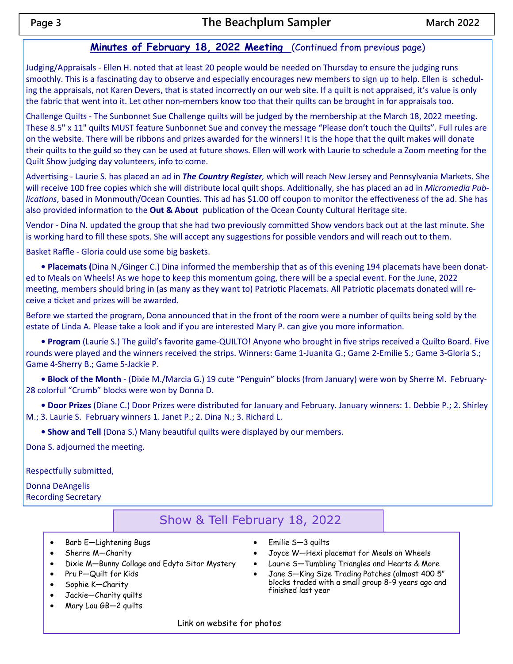#### **Minutes of February 18, 2022 Meeting** (Continued from previous page)

Judging/Appraisals - Ellen H. noted that at least 20 people would be needed on Thursday to ensure the judging runs smoothly. This is a fascinating day to observe and especially encourages new members to sign up to help. Ellen is scheduling the appraisals, not Karen Devers, that is stated incorrectly on our web site. If a quilt is not appraised, it's value is only the fabric that went into it. Let other non-members know too that their quilts can be brought in for appraisals too.

Challenge Quilts - The Sunbonnet Sue Challenge quilts will be judged by the membership at the March 18, 2022 meeting. These 8.5" x 11" quilts MUST feature Sunbonnet Sue and convey the message "Please don't touch the Quilts". Full rules are on the website. There will be ribbons and prizes awarded for the winners! It is the hope that the quilt makes will donate their quilts to the guild so they can be used at future shows. Ellen will work with Laurie to schedule a Zoom meeting for the Quilt Show judging day volunteers, info to come.

Advertising - Laurie S. has placed an ad in *The Country Register,* which will reach New Jersey and Pennsylvania Markets. She will receive 100 free copies which she will distribute local quilt shops. Additionally, she has placed an ad in *Micromedia Publications*, based in Monmouth/Ocean Counties. This ad has \$1.00 off coupon to monitor the effectiveness of the ad. She has also provided information to the **Out & About** publication of the Ocean County Cultural Heritage site.

Vendor - Dina N. updated the group that she had two previously committed Show vendors back out at the last minute. She is working hard to fill these spots. She will accept any suggestions for possible vendors and will reach out to them.

Basket Raffle - Gloria could use some big baskets.

**• Placemats (**Dina N./Ginger C.) Dina informed the membership that as of this evening 194 placemats have been donated to Meals on Wheels! As we hope to keep this momentum going, there will be a special event. For the June, 2022 meeting, members should bring in (as many as they want to) Patriotic Placemats. All Patriotic placemats donated will receive a ticket and prizes will be awarded.

Before we started the program, Dona announced that in the front of the room were a number of quilts being sold by the estate of Linda A. Please take a look and if you are interested Mary P. can give you more information.

**• Program** (Laurie S.) The guild's favorite game-QUILTO! Anyone who brought in five strips received a Quilto Board. Five rounds were played and the winners received the strips. Winners: Game 1-Juanita G.; Game 2-Emilie S.; Game 3-Gloria S.; Game 4-Sherry B.; Game 5-Jackie P.

**• Block of the Month** - (Dixie M./Marcia G.) 19 cute "Penguin" blocks (from January) were won by Sherre M. February-28 colorful "Crumb" blocks were won by Donna D.

**• Door Prizes** (Diane C.) Door Prizes were distributed for January and February. January winners: 1. Debbie P.; 2. Shirley M.; 3. Laurie S. February winners 1. Janet P.; 2. Dina N.; 3. Richard L.

**• Show and Tell** (Dona S.) Many beautiful quilts were displayed by our members.

Dona S. adjourned the meeting.

Respectfully submitted,

Donna DeAngelis Recording Secretary

#### Show & Tell February 18, 2022

- Barb E—Lightening Bugs
- Sherre M—Charity
- Dixie M—Bunny Collage and Edyta Sitar Mystery
- Pru P—Quilt for Kids
- Sophie K—Charity
- Jackie—Charity quilts
- Mary Lou GB—2 quilts
- Emilie S—3 quilts
- Joyce W—Hexi placemat for Meals on Wheels
- Laurie S—Tumbling Triangles and Hearts & More
- Jane S—King Size Trading Patches (almost 400 5" blocks traded with a small group 8-9 years ago and finished last year

Link on website for photos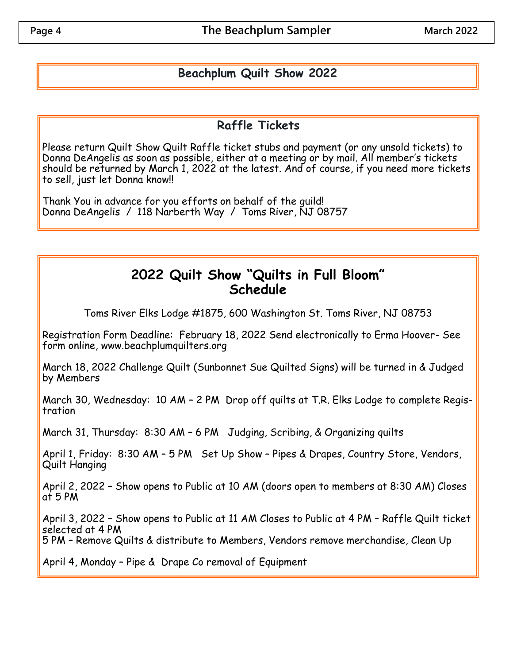## **Beachplum Quilt Show 2022**

## **Raffle Tickets**

Please return Quilt Show Quilt Raffle ticket stubs and payment (or any unsold tickets) to Donna DeAngelis as soon as possible, either at a meeting or by mail. All member's tickets should be returned by March 1, 2022 at the latest. And of course, if you need more tickets to sell, just let Donna know!!

Thank You in advance for you efforts on behalf of the guild! Donna DeAngelis / 118 Narberth Way / Toms River, NJ 08757

# **2022 Quilt Show "Quilts in Full Bloom" Schedule**

Toms River Elks Lodge #1875, 600 Washington St. Toms River, NJ 08753

Registration Form Deadline: February 18, 2022 Send electronically to Erma Hoover- See form online, www.beachplumquilters.org

March 18, 2022 Challenge Quilt (Sunbonnet Sue Quilted Signs) will be turned in & Judged by Members

March 30, Wednesday: 10 AM – 2 PM Drop off quilts at T.R. Elks Lodge to complete Registration

March 31, Thursday: 8:30 AM – 6 PM Judging, Scribing, & Organizing quilts

April 1, Friday: 8:30 AM - 5 PM Set Up Show - Pipes & Drapes, Country Store, Vendors, Quilt Hanging

April 2, 2022 – Show opens to Public at 10 AM (doors open to members at 8:30 AM) Closes at 5 PM

April 3, 2022 – Show opens to Public at 11 AM Closes to Public at 4 PM – Raffle Quilt ticket selected at 4 PM

5 PM – Remove Quilts & distribute to Members, Vendors remove merchandise, Clean Up

April 4, Monday – Pipe & Drape Co removal of Equipment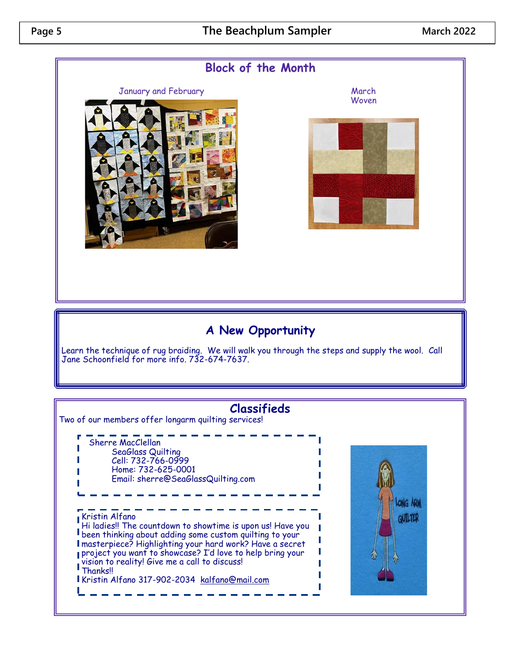## **Page 5 The Beachplum Sampler March 2022**



Kristin Alfano 317-902-2034 [kalfano@mail.com](mailto:kalfano@mail.com)